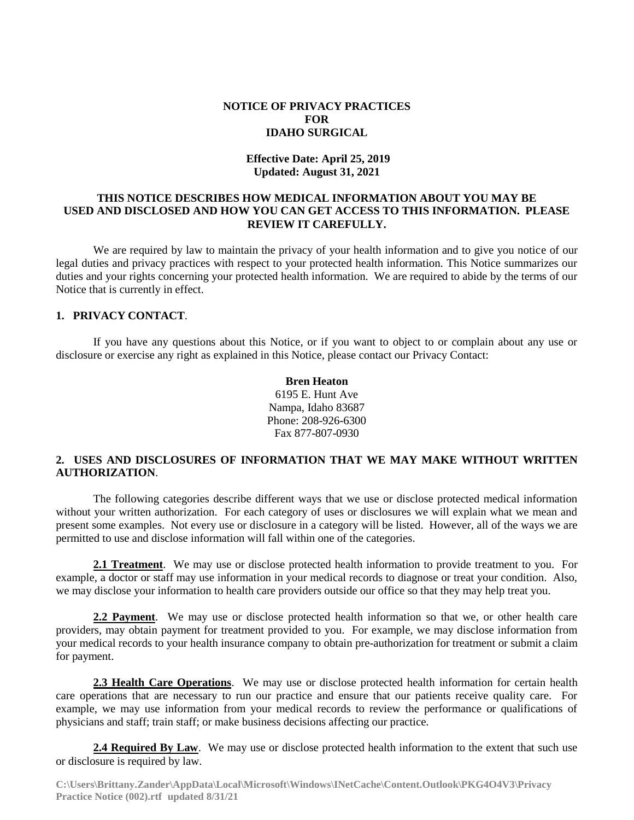#### **NOTICE OF PRIVACY PRACTICES FOR IDAHO SURGICAL**

## **Effective Date: April 25, 2019 Updated: August 31, 2021**

### **THIS NOTICE DESCRIBES HOW MEDICAL INFORMATION ABOUT YOU MAY BE USED AND DISCLOSED AND HOW YOU CAN GET ACCESS TO THIS INFORMATION. PLEASE REVIEW IT CAREFULLY.**

We are required by law to maintain the privacy of your health information and to give you notice of our legal duties and privacy practices with respect to your protected health information. This Notice summarizes our duties and your rights concerning your protected health information. We are required to abide by the terms of our Notice that is currently in effect.

#### **1. PRIVACY CONTACT**.

If you have any questions about this Notice, or if you want to object to or complain about any use or disclosure or exercise any right as explained in this Notice, please contact our Privacy Contact:

> **Bren Heaton** 6195 E. Hunt Ave Nampa, Idaho 83687 Phone: 208-926-6300 Fax 877-807-0930

## **2. USES AND DISCLOSURES OF INFORMATION THAT WE MAY MAKE WITHOUT WRITTEN AUTHORIZATION**.

The following categories describe different ways that we use or disclose protected medical information without your written authorization. For each category of uses or disclosures we will explain what we mean and present some examples. Not every use or disclosure in a category will be listed. However, all of the ways we are permitted to use and disclose information will fall within one of the categories.

**2.1 Treatment**. We may use or disclose protected health information to provide treatment to you. For example, a doctor or staff may use information in your medical records to diagnose or treat your condition. Also, we may disclose your information to health care providers outside our office so that they may help treat you.

**2.2 Payment**. We may use or disclose protected health information so that we, or other health care providers, may obtain payment for treatment provided to you. For example, we may disclose information from your medical records to your health insurance company to obtain pre-authorization for treatment or submit a claim for payment.

**2.3 Health Care Operations**. We may use or disclose protected health information for certain health care operations that are necessary to run our practice and ensure that our patients receive quality care. For example, we may use information from your medical records to review the performance or qualifications of physicians and staff; train staff; or make business decisions affecting our practice.

**2.4 Required By Law**. We may use or disclose protected health information to the extent that such use or disclosure is required by law.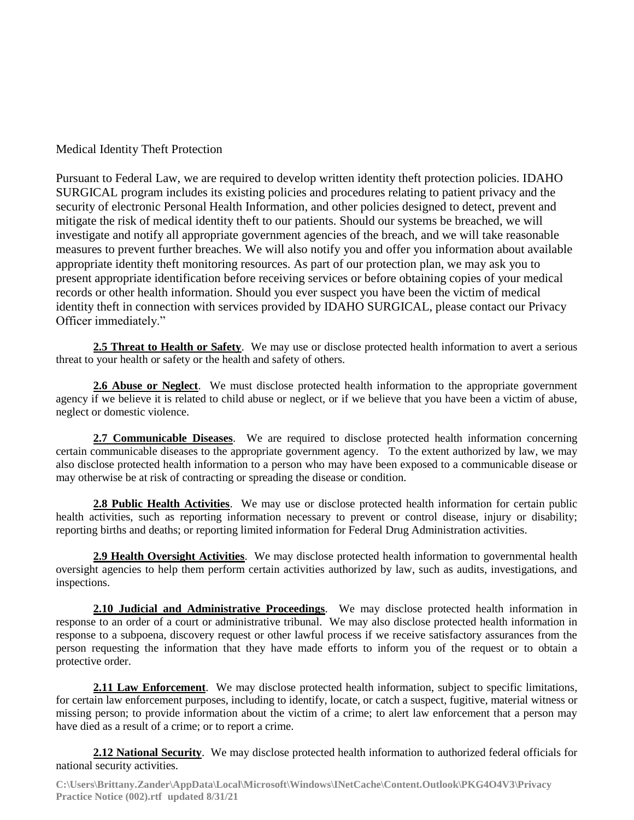Medical Identity Theft Protection

Pursuant to Federal Law, we are required to develop written identity theft protection policies. IDAHO SURGICAL program includes its existing policies and procedures relating to patient privacy and the security of electronic Personal Health Information, and other policies designed to detect, prevent and mitigate the risk of medical identity theft to our patients. Should our systems be breached, we will investigate and notify all appropriate government agencies of the breach, and we will take reasonable measures to prevent further breaches. We will also notify you and offer you information about available appropriate identity theft monitoring resources. As part of our protection plan, we may ask you to present appropriate identification before receiving services or before obtaining copies of your medical records or other health information. Should you ever suspect you have been the victim of medical identity theft in connection with services provided by IDAHO SURGICAL, please contact our Privacy Officer immediately."

**2.5 Threat to Health or Safety**. We may use or disclose protected health information to avert a serious threat to your health or safety or the health and safety of others.

**2.6 Abuse or Neglect**. We must disclose protected health information to the appropriate government agency if we believe it is related to child abuse or neglect, or if we believe that you have been a victim of abuse, neglect or domestic violence.

**2.7 Communicable Diseases**. We are required to disclose protected health information concerning certain communicable diseases to the appropriate government agency. To the extent authorized by law, we may also disclose protected health information to a person who may have been exposed to a communicable disease or may otherwise be at risk of contracting or spreading the disease or condition.

**2.8 Public Health Activities**. We may use or disclose protected health information for certain public health activities, such as reporting information necessary to prevent or control disease, injury or disability; reporting births and deaths; or reporting limited information for Federal Drug Administration activities.

**2.9 Health Oversight Activities**. We may disclose protected health information to governmental health oversight agencies to help them perform certain activities authorized by law, such as audits, investigations, and inspections.

**2.10 Judicial and Administrative Proceedings**. We may disclose protected health information in response to an order of a court or administrative tribunal. We may also disclose protected health information in response to a subpoena, discovery request or other lawful process if we receive satisfactory assurances from the person requesting the information that they have made efforts to inform you of the request or to obtain a protective order.

**2.11 Law Enforcement**. We may disclose protected health information, subject to specific limitations, for certain law enforcement purposes, including to identify, locate, or catch a suspect, fugitive, material witness or missing person; to provide information about the victim of a crime; to alert law enforcement that a person may have died as a result of a crime; or to report a crime.

**2.12 National Security**. We may disclose protected health information to authorized federal officials for national security activities.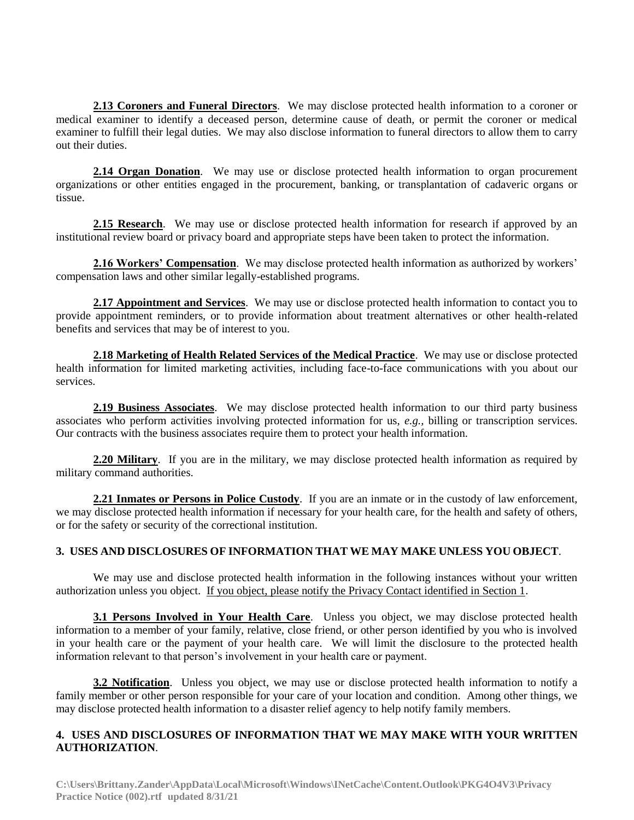**2.13 Coroners and Funeral Directors**. We may disclose protected health information to a coroner or medical examiner to identify a deceased person, determine cause of death, or permit the coroner or medical examiner to fulfill their legal duties. We may also disclose information to funeral directors to allow them to carry out their duties.

**2.14 Organ Donation**. We may use or disclose protected health information to organ procurement organizations or other entities engaged in the procurement, banking, or transplantation of cadaveric organs or tissue.

**2.15 Research**. We may use or disclose protected health information for research if approved by an institutional review board or privacy board and appropriate steps have been taken to protect the information.

**2.16 Workers' Compensation**. We may disclose protected health information as authorized by workers' compensation laws and other similar legally-established programs.

**2.17 Appointment and Services**. We may use or disclose protected health information to contact you to provide appointment reminders, or to provide information about treatment alternatives or other health-related benefits and services that may be of interest to you.

**2.18 Marketing of Health Related Services of the Medical Practice**. We may use or disclose protected health information for limited marketing activities, including face-to-face communications with you about our services.

**2.19 Business Associates**. We may disclose protected health information to our third party business associates who perform activities involving protected information for us, *e.g.,* billing or transcription services. Our contracts with the business associates require them to protect your health information.

**2.20 Military**. If you are in the military, we may disclose protected health information as required by military command authorities.

**2.21 Inmates or Persons in Police Custody**. If you are an inmate or in the custody of law enforcement, we may disclose protected health information if necessary for your health care, for the health and safety of others, or for the safety or security of the correctional institution.

## **3. USES AND DISCLOSURES OF INFORMATION THAT WE MAY MAKE UNLESS YOU OBJECT**.

We may use and disclose protected health information in the following instances without your written authorization unless you object. If you object, please notify the Privacy Contact identified in Section 1.

**3.1 Persons Involved in Your Health Care**. Unless you object, we may disclose protected health information to a member of your family, relative, close friend, or other person identified by you who is involved in your health care or the payment of your health care. We will limit the disclosure to the protected health information relevant to that person's involvement in your health care or payment.

**3.2 Notification**. Unless you object, we may use or disclose protected health information to notify a family member or other person responsible for your care of your location and condition. Among other things, we may disclose protected health information to a disaster relief agency to help notify family members.

# **4. USES AND DISCLOSURES OF INFORMATION THAT WE MAY MAKE WITH YOUR WRITTEN AUTHORIZATION**.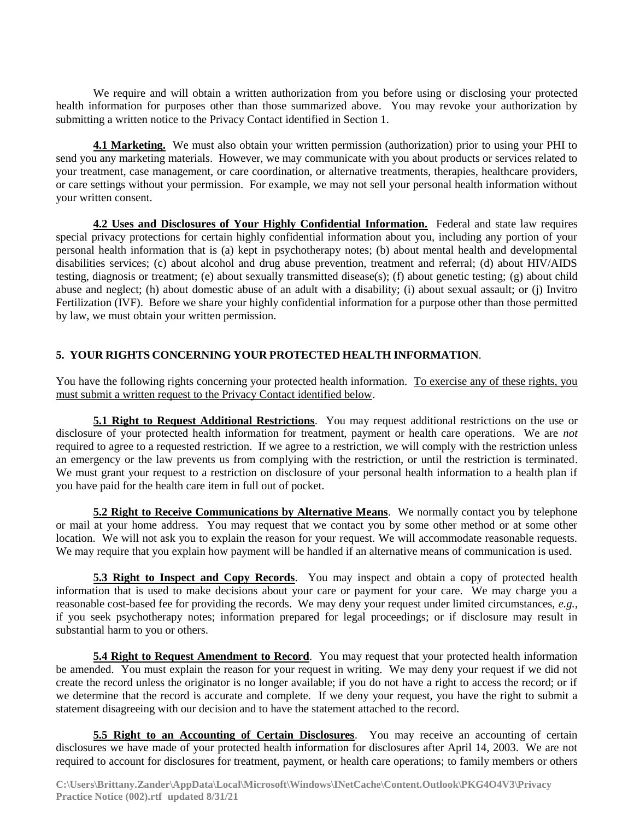We require and will obtain a written authorization from you before using or disclosing your protected health information for purposes other than those summarized above. You may revoke your authorization by submitting a written notice to the Privacy Contact identified in Section 1.

**4.1 Marketing.** We must also obtain your written permission (authorization) prior to using your PHI to send you any marketing materials. However, we may communicate with you about products or services related to your treatment, case management, or care coordination, or alternative treatments, therapies, healthcare providers, or care settings without your permission. For example, we may not sell your personal health information without your written consent.

**4.2 Uses and Disclosures of Your Highly Confidential Information.** Federal and state law requires special privacy protections for certain highly confidential information about you, including any portion of your personal health information that is (a) kept in psychotherapy notes; (b) about mental health and developmental disabilities services; (c) about alcohol and drug abuse prevention, treatment and referral; (d) about HIV/AIDS testing, diagnosis or treatment; (e) about sexually transmitted disease(s); (f) about genetic testing; (g) about child abuse and neglect; (h) about domestic abuse of an adult with a disability; (i) about sexual assault; or (j) Invitro Fertilization (IVF). Before we share your highly confidential information for a purpose other than those permitted by law, we must obtain your written permission.

# **5. YOUR RIGHTS CONCERNING YOUR PROTECTED HEALTH INFORMATION**.

You have the following rights concerning your protected health information. To exercise any of these rights, you must submit a written request to the Privacy Contact identified below.

**5.1 Right to Request Additional Restrictions**. You may request additional restrictions on the use or disclosure of your protected health information for treatment, payment or health care operations. We are *not* required to agree to a requested restriction. If we agree to a restriction, we will comply with the restriction unless an emergency or the law prevents us from complying with the restriction, or until the restriction is terminated. We must grant your request to a restriction on disclosure of your personal health information to a health plan if you have paid for the health care item in full out of pocket.

**5.2 Right to Receive Communications by Alternative Means**. We normally contact you by telephone or mail at your home address. You may request that we contact you by some other method or at some other location. We will not ask you to explain the reason for your request. We will accommodate reasonable requests. We may require that you explain how payment will be handled if an alternative means of communication is used.

**5.3 Right to Inspect and Copy Records**. You may inspect and obtain a copy of protected health information that is used to make decisions about your care or payment for your care. We may charge you a reasonable cost-based fee for providing the records. We may deny your request under limited circumstances, *e.g.*, if you seek psychotherapy notes; information prepared for legal proceedings; or if disclosure may result in substantial harm to you or others.

**5.4 Right to Request Amendment to Record**. You may request that your protected health information be amended. You must explain the reason for your request in writing. We may deny your request if we did not create the record unless the originator is no longer available; if you do not have a right to access the record; or if we determine that the record is accurate and complete. If we deny your request, you have the right to submit a statement disagreeing with our decision and to have the statement attached to the record.

**5.5 Right to an Accounting of Certain Disclosures**. You may receive an accounting of certain disclosures we have made of your protected health information for disclosures after April 14, 2003. We are not required to account for disclosures for treatment, payment, or health care operations; to family members or others